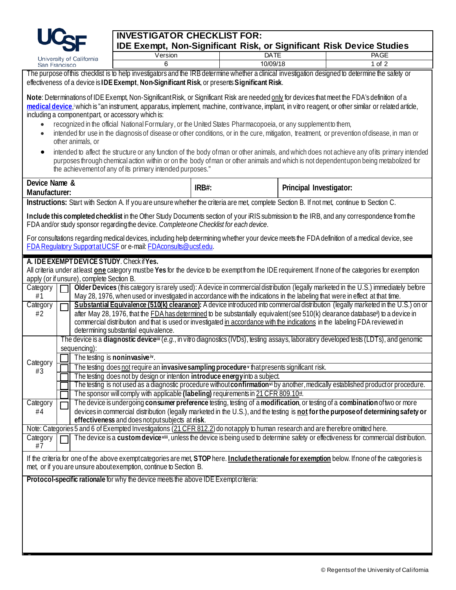

S

## **INVESTIGATOR CHECKLIST FOR: IDE Exempt, Non-Significant Risk, or Significant Risk Device Studies**

|                                                                                                                                                                                                                                                                                                                                                                                                                                                                                                                                                                                                                                                                             | University of California                                                                                                                                                                                                                                                                                              | Version                                                                                                                                                                                                                                                                                                                                                                                                                                                        |       | <b>DATE</b> |                         | <b>PAGE</b>                                                                                                                           |  |  |
|-----------------------------------------------------------------------------------------------------------------------------------------------------------------------------------------------------------------------------------------------------------------------------------------------------------------------------------------------------------------------------------------------------------------------------------------------------------------------------------------------------------------------------------------------------------------------------------------------------------------------------------------------------------------------------|-----------------------------------------------------------------------------------------------------------------------------------------------------------------------------------------------------------------------------------------------------------------------------------------------------------------------|----------------------------------------------------------------------------------------------------------------------------------------------------------------------------------------------------------------------------------------------------------------------------------------------------------------------------------------------------------------------------------------------------------------------------------------------------------------|-------|-------------|-------------------------|---------------------------------------------------------------------------------------------------------------------------------------|--|--|
|                                                                                                                                                                                                                                                                                                                                                                                                                                                                                                                                                                                                                                                                             | San Francisco                                                                                                                                                                                                                                                                                                         | 6                                                                                                                                                                                                                                                                                                                                                                                                                                                              |       | 10/09/18    |                         | $1$ of $2$                                                                                                                            |  |  |
| The purpose of this checklist is to help investigators and the IRB determine whether a clinical investigation designed to determine the safety or                                                                                                                                                                                                                                                                                                                                                                                                                                                                                                                           |                                                                                                                                                                                                                                                                                                                       |                                                                                                                                                                                                                                                                                                                                                                                                                                                                |       |             |                         |                                                                                                                                       |  |  |
| effectiveness of a device is IDE Exempt, Non-Significant Risk, or presents Significant Risk.                                                                                                                                                                                                                                                                                                                                                                                                                                                                                                                                                                                |                                                                                                                                                                                                                                                                                                                       |                                                                                                                                                                                                                                                                                                                                                                                                                                                                |       |             |                         |                                                                                                                                       |  |  |
| Note: Determinations of IDE Exempt, Non-Significant Risk, or Significant Risk are needed only for devices that meet the FDA's definition of a<br>medical device, which is "an instrument, apparatus, implement, machine, contrivance, implant, in vitro reagent, or other similar or related article,<br>including a component part, or accessory which is:<br>recognized in the official National Formulary, or the United States Pharmacopoeia, or any supplement to them,<br>$\bullet$<br>intended for use in the diagnosis of disease or other conditions, or in the cure, mitigation, treatment, or prevention of disease, in man or<br>$\bullet$<br>other animals, or |                                                                                                                                                                                                                                                                                                                       |                                                                                                                                                                                                                                                                                                                                                                                                                                                                |       |             |                         |                                                                                                                                       |  |  |
| intended to affect the structure or any function of the body of man or other animals, and which does not achieve any of its primary intended<br>$\bullet$<br>purposes through chemical action within or on the body of man or other animals and which is not dependent upon being metabolized for<br>the achievement of any of its primary intended purposes."                                                                                                                                                                                                                                                                                                              |                                                                                                                                                                                                                                                                                                                       |                                                                                                                                                                                                                                                                                                                                                                                                                                                                |       |             |                         |                                                                                                                                       |  |  |
| Device Name &<br>Manufacturer:                                                                                                                                                                                                                                                                                                                                                                                                                                                                                                                                                                                                                                              |                                                                                                                                                                                                                                                                                                                       |                                                                                                                                                                                                                                                                                                                                                                                                                                                                | IRB#: |             | Principal Investigator: |                                                                                                                                       |  |  |
|                                                                                                                                                                                                                                                                                                                                                                                                                                                                                                                                                                                                                                                                             |                                                                                                                                                                                                                                                                                                                       | Instructions: Start with Section A. If you are unsure whether the criteria are met, complete Section B. If not met, continue to Section C.                                                                                                                                                                                                                                                                                                                     |       |             |                         |                                                                                                                                       |  |  |
| Include this completed checklist in the Other Study Documents section of your iRIS submission to the IRB, and any correspondence from the<br>FDA and/or study sponsor regarding the device. Complete one Checklist for each device.                                                                                                                                                                                                                                                                                                                                                                                                                                         |                                                                                                                                                                                                                                                                                                                       |                                                                                                                                                                                                                                                                                                                                                                                                                                                                |       |             |                         |                                                                                                                                       |  |  |
| For consultations regarding medical devices, including help determining whether your device meets the FDA definition of a medical device, see<br>FDA Regulatory Support at UCSF or e-mail: FDAconsults@ucsf.edu.                                                                                                                                                                                                                                                                                                                                                                                                                                                            |                                                                                                                                                                                                                                                                                                                       |                                                                                                                                                                                                                                                                                                                                                                                                                                                                |       |             |                         |                                                                                                                                       |  |  |
| A. IDE EXEMPT DEVICE STUDY. Check if Yes.<br>All criteria under at least one category must be Yes for the device to be exempt from the IDE requirement. If none of the categories for exemption<br>apply (or if unsure), complete Section B.<br>Older Devices (this category is rarely used): A device in commercial distribution (legally marketed in the U.S.) immediately before<br>Category                                                                                                                                                                                                                                                                             |                                                                                                                                                                                                                                                                                                                       |                                                                                                                                                                                                                                                                                                                                                                                                                                                                |       |             |                         |                                                                                                                                       |  |  |
| #1                                                                                                                                                                                                                                                                                                                                                                                                                                                                                                                                                                                                                                                                          |                                                                                                                                                                                                                                                                                                                       | May 28, 1976, when used or investigated in accordance with the indications in the labeling that were in effect at that time.                                                                                                                                                                                                                                                                                                                                   |       |             |                         |                                                                                                                                       |  |  |
| Category<br>#2                                                                                                                                                                                                                                                                                                                                                                                                                                                                                                                                                                                                                                                              |                                                                                                                                                                                                                                                                                                                       | Substantial Equivalence (510(k) clearance): A device introduced into commercial distribution (legally marketed in the U.S.) on or<br>after May 28, 1976, that the <b>FDA</b> has determined to be substantially equivalent (see 510(k) clearance database <sup>®</sup> ) to a device in<br>commercial distribution and that is used or investigated in accordance with the indications in the labeling FDA reviewed in<br>determining substantial equivalence. |       |             |                         |                                                                                                                                       |  |  |
|                                                                                                                                                                                                                                                                                                                                                                                                                                                                                                                                                                                                                                                                             | The device is a <b>diagnostic device</b> <sup>iii</sup> (e.g., in vitro diagnostics (IVDs), testing assays, laboratory developed tests (LDTs), and genomic<br>sequencing):                                                                                                                                            |                                                                                                                                                                                                                                                                                                                                                                                                                                                                |       |             |                         |                                                                                                                                       |  |  |
|                                                                                                                                                                                                                                                                                                                                                                                                                                                                                                                                                                                                                                                                             |                                                                                                                                                                                                                                                                                                                       | The testing is noninvasive <sup>iv</sup> .                                                                                                                                                                                                                                                                                                                                                                                                                     |       |             |                         |                                                                                                                                       |  |  |
| Category<br>#3                                                                                                                                                                                                                                                                                                                                                                                                                                                                                                                                                                                                                                                              |                                                                                                                                                                                                                                                                                                                       | The testing does not require an invasive sampling procedure <sup>v</sup> that presents significant risk.                                                                                                                                                                                                                                                                                                                                                       |       |             |                         |                                                                                                                                       |  |  |
|                                                                                                                                                                                                                                                                                                                                                                                                                                                                                                                                                                                                                                                                             | The testing does not by design or intention introduce energy into a subject.<br>The testing is not used as a diagnostic procedure without confirmation <sup>vi</sup> by another, medically established product or procedure.                                                                                          |                                                                                                                                                                                                                                                                                                                                                                                                                                                                |       |             |                         |                                                                                                                                       |  |  |
|                                                                                                                                                                                                                                                                                                                                                                                                                                                                                                                                                                                                                                                                             |                                                                                                                                                                                                                                                                                                                       |                                                                                                                                                                                                                                                                                                                                                                                                                                                                |       |             |                         |                                                                                                                                       |  |  |
|                                                                                                                                                                                                                                                                                                                                                                                                                                                                                                                                                                                                                                                                             | The sponsor will comply with applicable (labeling) requirements in 21 CFR 809.10s                                                                                                                                                                                                                                     |                                                                                                                                                                                                                                                                                                                                                                                                                                                                |       |             |                         |                                                                                                                                       |  |  |
| Category<br>#4                                                                                                                                                                                                                                                                                                                                                                                                                                                                                                                                                                                                                                                              | The device is undergoing consumer preference testing, testing of a modification, or testing of a combination of two or more<br>devices in commercial distribution (legally marketed in the U.S.), and the testing is not for the purpose of determining safety or<br>effectiveness and does not put subjects at risk. |                                                                                                                                                                                                                                                                                                                                                                                                                                                                |       |             |                         |                                                                                                                                       |  |  |
|                                                                                                                                                                                                                                                                                                                                                                                                                                                                                                                                                                                                                                                                             | Note: Categories 5 and 6 of Exempted Investigations (21 CFR 812.2) do not apply to human research and are therefore omitted here.                                                                                                                                                                                     |                                                                                                                                                                                                                                                                                                                                                                                                                                                                |       |             |                         |                                                                                                                                       |  |  |
| Category<br>#7                                                                                                                                                                                                                                                                                                                                                                                                                                                                                                                                                                                                                                                              |                                                                                                                                                                                                                                                                                                                       |                                                                                                                                                                                                                                                                                                                                                                                                                                                                |       |             |                         | The device is a custom device viii, unless the device is being used to determine safety or effectiveness for commercial distribution. |  |  |
| If the criteria for one of the above exempt categories are met, STOP here. Include the rationale for exemption below. If none of the categories is<br>met, or if you are unsure about exemption, continue to Section B.                                                                                                                                                                                                                                                                                                                                                                                                                                                     |                                                                                                                                                                                                                                                                                                                       |                                                                                                                                                                                                                                                                                                                                                                                                                                                                |       |             |                         |                                                                                                                                       |  |  |
| Protocol-specific rationale for why the device meets the above IDE Exempt criteria:                                                                                                                                                                                                                                                                                                                                                                                                                                                                                                                                                                                         |                                                                                                                                                                                                                                                                                                                       |                                                                                                                                                                                                                                                                                                                                                                                                                                                                |       |             |                         |                                                                                                                                       |  |  |
|                                                                                                                                                                                                                                                                                                                                                                                                                                                                                                                                                                                                                                                                             |                                                                                                                                                                                                                                                                                                                       |                                                                                                                                                                                                                                                                                                                                                                                                                                                                |       |             |                         |                                                                                                                                       |  |  |
|                                                                                                                                                                                                                                                                                                                                                                                                                                                                                                                                                                                                                                                                             |                                                                                                                                                                                                                                                                                                                       |                                                                                                                                                                                                                                                                                                                                                                                                                                                                |       |             |                         |                                                                                                                                       |  |  |
|                                                                                                                                                                                                                                                                                                                                                                                                                                                                                                                                                                                                                                                                             |                                                                                                                                                                                                                                                                                                                       |                                                                                                                                                                                                                                                                                                                                                                                                                                                                |       |             |                         |                                                                                                                                       |  |  |
|                                                                                                                                                                                                                                                                                                                                                                                                                                                                                                                                                                                                                                                                             |                                                                                                                                                                                                                                                                                                                       |                                                                                                                                                                                                                                                                                                                                                                                                                                                                |       |             |                         |                                                                                                                                       |  |  |